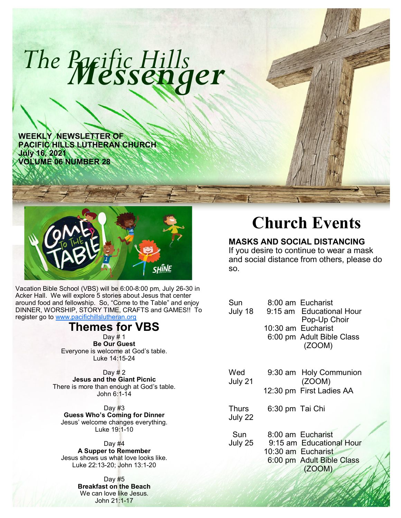

**WEEKLY NEWSLETTER OF PACIFIC HILLS LUTHERAN CHURCH July 16, 2021 VOLUME 06 NUMBER 28**



Vacation Bible School (VBS) will be 6:00-8:00 pm, July 26-30 in Acker Hall. We will explore 5 stories about Jesus that center around food and fellowship. So, "Come to the Table" and enjoy DINNER, WORSHIP, STORY TIME, CRAFTS and GAMES!! To register go to [www.pacifichillslutheran.org](http://www.pacifichillslutheran.org)

# **Themes for VBS**

Day # 1 **Be Our Guest** Everyone is welcome at God's table. Luke 14:15-24

Day  $#2$ **Jesus and the Giant Picnic** There is more than enough at God's table. John 6:1-14

Day  $#3$ **Guess Who's Coming for Dinner** Jesus' welcome changes everything. Luke 19:1-10

Day  $#4$ **A Supper to Remember** Jesus shows us what love looks like. Luke 22:13-20; John 13:1-20

> Day #5 **Breakfast on the Beach** We can love like Jesus. John 21:1-17

# **Church Events**

## **MASKS AND SOCIAL DISTANCING**

If you desire to continue to wear a mask and social distance from others, please do so.

| Sun<br>July 18   | 8:00 am Eucharist<br>9:15 am Educational Hour<br>Pop-Up Choir<br>10:30 am Eucharist<br>6:00 pm Adult Bible Class<br>(ZOOM) |  |
|------------------|----------------------------------------------------------------------------------------------------------------------------|--|
| Wed<br>July 21   | 9:30 am Holy Communion<br>(ZOOM)<br>12:30 pm First Ladies AA                                                               |  |
| Thurs<br>July 22 | 6:30 pm Tai Chi                                                                                                            |  |
| Sun<br>July 25   | 8:00 am Eucharist<br>9:15 am Educational Hour<br>10:30 am Eucharist<br>6:00 pm Adult Bible Class<br>(ZOOM)                 |  |